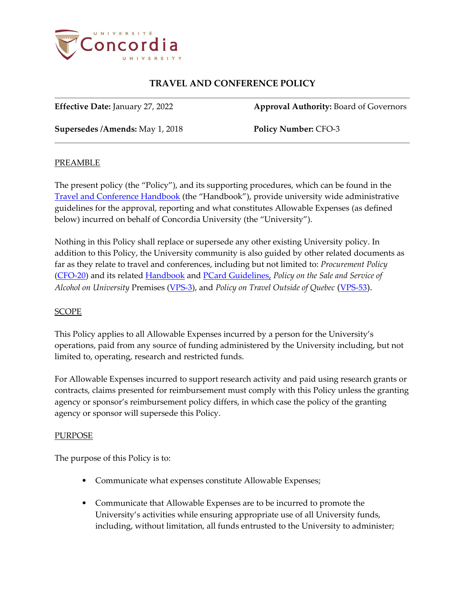

**Effective Date:** January 27, 2022 **Approval Authority:** Board of Governors

**Supersedes /Amends:** May 1, 2018 **Policy Number:** CFO-3

### **PREAMBLE**

The present policy (the "Policy"), and its supporting procedures, which can be found in the [Travel and Conference Handbook](https://www.concordia.ca/content/dam/cspace/services/financial/docs/Travel_and_Conference_Policy_Handbook.pdf) (the "Handbook"), provide university wide administrative guidelines for the approval, reporting and what constitutes Allowable Expenses (as defined below) incurred on behalf of Concordia University (the "University").

Nothing in this Policy shall replace or supersede any other existing University policy. In addition to this Policy, the University community is also guided by other related documents as far as they relate to travel and conferences, including but not limited to: *Procurement Policy* [\(CFO-20\)](https://www.concordia.ca/content/dam/common/docs/policies/official-policies/CFO-20.pdf) and its related [Handbook](https://hub.concordia.ca/content/dam/cspace/services/financial/docs/Procurement_Handbook.pdf) and [PCard Guidelines,](https://hub.concordia.ca/content/dam/cspace/services/financial/docs/pcard/PCardGuidelines.pdf) *Policy on the Sale and Service of Alcohol on University* Premises [\(VPS-3\)](https://www.concordia.ca/content/dam/common/docs/policies/official-policies/VPS-3.pdf), and *Policy on Travel Outside of Quebec* ([VPS-53](https://www.concordia.ca/content/dam/common/docs/policies/official-policies/VPS-53.pdf)).

### SCOPE

This Policy applies to all Allowable Expenses incurred by a person for the University's operations, paid from any source of funding administered by the University including, but not limited to, operating, research and restricted funds.

For Allowable Expenses incurred to support research activity and paid using research grants or contracts, claims presented for reimbursement must comply with this Policy unless the granting agency or sponsor's reimbursement policy differs, in which case the policy of the granting agency or sponsor will supersede this Policy.

### PURPOSE

The purpose of this Policy is to:

- Communicate what expenses constitute Allowable Expenses;
- Communicate that Allowable Expenses are to be incurred to promote the University's activities while ensuring appropriate use of all University funds, including, without limitation, all funds entrusted to the University to administer;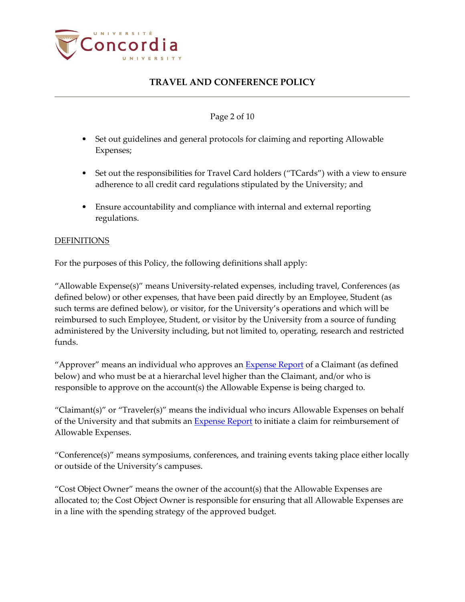

### Page 2 of 10

- Set out guidelines and general protocols for claiming and reporting Allowable Expenses;
- Set out the responsibilities for Travel Card holders ("TCards") with a view to ensure adherence to all credit card regulations stipulated by the University; and
- Ensure accountability and compliance with internal and external reporting regulations.

### **DEFINITIONS**

For the purposes of this Policy, the following definitions shall apply:

"Allowable Expense(s)" means University-related expenses, including travel, Conferences (as defined below) or other expenses, that have been paid directly by an Employee, Student (as such terms are defined below), or visitor, for the University's operations and which will be reimbursed to such Employee, Student, or visitor by the University from a source of funding administered by the University including, but not limited to, operating, research and restricted funds.

"Approver" means an individual who approves an **Expense Report** of a Claimant (as defined below) and who must be at a hierarchal level higher than the Claimant, and/or who is responsible to approve on the account(s) the Allowable Expense is being charged to.

"Claimant(s)" or "Traveler(s)" means the individual who incurs Allowable Expenses on behalf of the University and that submits an [Expense Report](https://hub.concordia.ca/carrefour/account.html?category=financial) to initiate a claim for reimbursement of Allowable Expenses.

"Conference(s)" means symposiums, conferences, and training events taking place either locally or outside of the University's campuses.

"Cost Object Owner" means the owner of the account(s) that the Allowable Expenses are allocated to; the Cost Object Owner is responsible for ensuring that all Allowable Expenses are in a line with the spending strategy of the approved budget.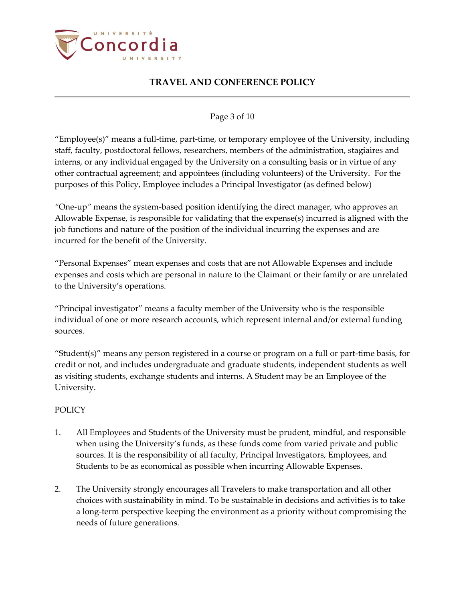

### Page 3 of 10

"Employee(s)" means a full-time, part-time, or temporary employee of the University, including staff, faculty, postdoctoral fellows, researchers, members of the administration, stagiaires and interns, or any individual engaged by the University on a consulting basis or in virtue of any other contractual agreement; and appointees (including volunteers) of the University. For the purposes of this Policy, Employee includes a Principal Investigator (as defined below)

*"*One-up*"* means the system-based position identifying the direct manager, who approves an Allowable Expense, is responsible for validating that the expense(s) incurred is aligned with the job functions and nature of the position of the individual incurring the expenses and are incurred for the benefit of the University.

"Personal Expenses" mean expenses and costs that are not Allowable Expenses and include expenses and costs which are personal in nature to the Claimant or their family or are unrelated to the University's operations.

"Principal investigator" means a faculty member of the University who is the responsible individual of one or more research accounts, which represent internal and/or external funding sources.

"Student(s)" means any person registered in a course or program on a full or part-time basis, for credit or not, and includes undergraduate and graduate students, independent students as well as visiting students, exchange students and interns. A Student may be an Employee of the University.

### **POLICY**

- 1. All Employees and Students of the University must be prudent, mindful, and responsible when using the University's funds, as these funds come from varied private and public sources. It is the responsibility of all faculty, Principal Investigators, Employees, and Students to be as economical as possible when incurring Allowable Expenses.
- 2. The University strongly encourages all Travelers to make transportation and all other choices with sustainability in mind. To be sustainable in decisions and activities is to take a long-term perspective keeping the environment as a priority without compromising the needs of future generations.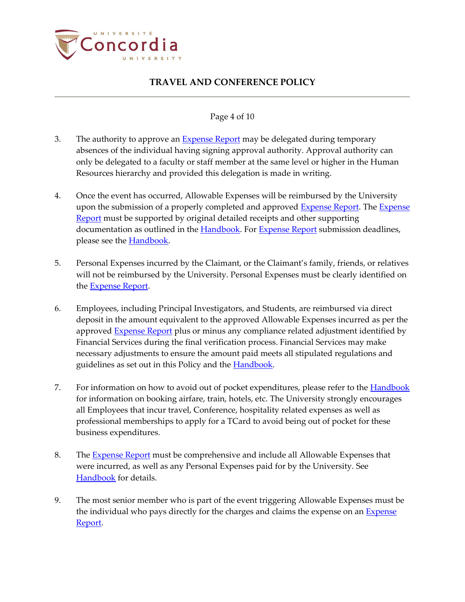

### Page 4 of 10

- 3. The authority to approve an [Expense Report](https://hub.concordia.ca/carrefour/account.html?category=financial) may be delegated during temporary absences of the individual having signing approval authority. Approval authority can only be delegated to a faculty or staff member at the same level or higher in the Human Resources hierarchy and provided this delegation is made in writing.
- 4. Once the event has occurred, Allowable Expenses will be reimbursed by the University upon the submission of a properly completed and approved [Expense Report.](https://hub.concordia.ca/carrefour/account.html?category=financial) The Expense [Report](https://hub.concordia.ca/carrefour/account.html?category=financial) must be supported by original detailed receipts and other supporting documentation as outlined in the [Handbook.](https://hub.concordia.ca/content/dam/cspace/services/financial/docs/Travel_and_Conference_Policy_Handbook.pdf) Fo[r Expense Report](https://hub.concordia.ca/carrefour/account.html?category=financial) submission deadlines, please see the **Handbook**.
- 5. Personal Expenses incurred by the Claimant, or the Claimant's family, friends, or relatives will not be reimbursed by the University. Personal Expenses must be clearly identified on the [Expense Report.](https://hub.concordia.ca/carrefour/account.html?category=financial)
- 6. Employees, including Principal Investigators, and Students, are reimbursed via direct deposit in the amount equivalent to the approved Allowable Expenses incurred as per the approved [Expense Report](https://hub.concordia.ca/carrefour/account.html?category=financial) plus or minus any compliance related adjustment identified by Financial Services during the final verification process. Financial Services may make necessary adjustments to ensure the amount paid meets all stipulated regulations and guidelines as set out in this Policy and the **Handbook**.
- 7. For information on how to avoid out of pocket expenditures, please refer to the **Handbook** for information on booking airfare, train, hotels, etc. The University strongly encourages all Employees that incur travel, Conference, hospitality related expenses as well as professional memberships to apply for a TCard to avoid being out of pocket for these business expenditures.
- 8. The [Expense Report](https://hub.concordia.ca/carrefour/account.html?category=financial) must be comprehensive and include all Allowable Expenses that were incurred, as well as any Personal Expenses paid for by the University. See [Handbook](https://cspace.concordia.ca/content/dam/cspace/services/financial/docs/Travel_and_Conference_Policy_Handbook.pdf) for details.
- 9. The most senior member who is part of the event triggering Allowable Expenses must be the individual who pays directly for the charges and claims the expense on an [Expense](https://hub.concordia.ca/carrefour/account.html?category=financial)  [Report.](https://hub.concordia.ca/carrefour/account.html?category=financial)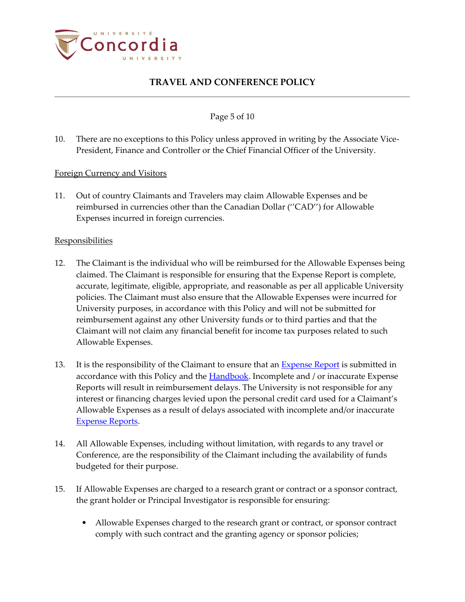

Page 5 of 10

10. There are no exceptions to this Policy unless approved in writing by the Associate Vice-President, Finance and Controller or the Chief Financial Officer of the University.

### Foreign Currency and Visitors

11. Out of country Claimants and Travelers may claim Allowable Expenses and be reimbursed in currencies other than the Canadian Dollar (''CAD'') for Allowable Expenses incurred in foreign currencies.

### **Responsibilities**

- 12. The Claimant is the individual who will be reimbursed for the Allowable Expenses being claimed. The Claimant is responsible for ensuring that the Expense Report is complete, accurate, legitimate, eligible, appropriate, and reasonable as per all applicable University policies. The Claimant must also ensure that the Allowable Expenses were incurred for University purposes, in accordance with this Policy and will not be submitted for reimbursement against any other University funds or to third parties and that the Claimant will not claim any financial benefit for income tax purposes related to such Allowable Expenses.
- 13. It is the responsibility of the Claimant to ensure that an **Expense Report** is submitted in accordance with this Policy and the **Handbook**. Incomplete and / or inaccurate Expense Reports will result in reimbursement delays. The University is not responsible for any interest or financing charges levied upon the personal credit card used for a Claimant's Allowable Expenses as a result of delays associated with incomplete and/or inaccurate [Expense Reports.](https://hub.concordia.ca/carrefour/account.html?category=financial)
- 14. All Allowable Expenses, including without limitation, with regards to any travel or Conference, are the responsibility of the Claimant including the availability of funds budgeted for their purpose.
- 15. If Allowable Expenses are charged to a research grant or contract or a sponsor contract, the grant holder or Principal Investigator is responsible for ensuring:
	- Allowable Expenses charged to the research grant or contract, or sponsor contract comply with such contract and the granting agency or sponsor policies;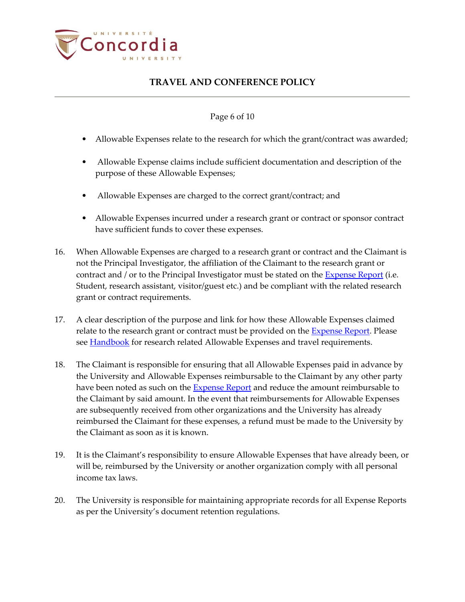

### Page 6 of 10

- Allowable Expenses relate to the research for which the grant/contract was awarded;
- Allowable Expense claims include sufficient documentation and description of the purpose of these Allowable Expenses;
- Allowable Expenses are charged to the correct grant/contract; and
- Allowable Expenses incurred under a research grant or contract or sponsor contract have sufficient funds to cover these expenses.
- 16. When Allowable Expenses are charged to a research grant or contract and the Claimant is not the Principal Investigator, the affiliation of the Claimant to the research grant or contract and / or to the Principal Investigator must be stated on the  $\frac{Expression}{Expression}$  (i.e. Student, research assistant, visitor/guest etc.) and be compliant with the related research grant or contract requirements.
- 17. A clear description of the purpose and link for how these Allowable Expenses claimed relate to the research grant or contract must be provided on the [Expense Report.](https://hub.concordia.ca/carrefour/account.html?category=financial) Please see [Handbook](https://cspace.concordia.ca/content/dam/cspace/services/financial/docs/Travel_and_Conference_Policy_Handbook.pdf) for research related Allowable Expenses and travel requirements.
- 18. The Claimant is responsible for ensuring that all Allowable Expenses paid in advance by the University and Allowable Expenses reimbursable to the Claimant by any other party have been noted as such on the **Expense Report** and reduce the amount reimbursable to the Claimant by said amount. In the event that reimbursements for Allowable Expenses are subsequently received from other organizations and the University has already reimbursed the Claimant for these expenses, a refund must be made to the University by the Claimant as soon as it is known.
- 19. It is the Claimant's responsibility to ensure Allowable Expenses that have already been, or will be, reimbursed by the University or another organization comply with all personal income tax laws.
- 20. The University is responsible for maintaining appropriate records for all Expense Reports as per the University's document retention regulations.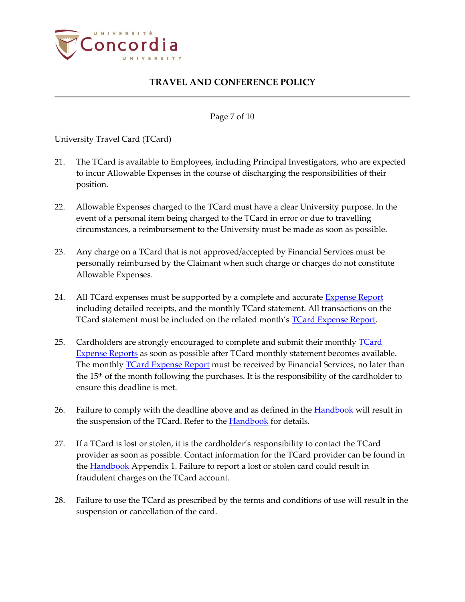

Page 7 of 10

### University Travel Card (TCard)

- 21. The TCard is available to Employees, including Principal Investigators, who are expected to incur Allowable Expenses in the course of discharging the responsibilities of their position.
- 22. Allowable Expenses charged to the TCard must have a clear University purpose. In the event of a personal item being charged to the TCard in error or due to travelling circumstances, a reimbursement to the University must be made as soon as possible.
- 23. Any charge on a TCard that is not approved/accepted by Financial Services must be personally reimbursed by the Claimant when such charge or charges do not constitute Allowable Expenses.
- 24. All TCard expenses must be supported by a complete and accurate [Expense Report](https://hub.concordia.ca/carrefour/account.html?category=financial) including detailed receipts, and the monthly TCard statement. All transactions on the TCard statement must be included on the related month's [TCard Expense Report.](https://my.concordia.ca/psp/upprpr9/EMPLOYEE/EMPL/s/WEBLIB_CONCORD.CU_FACULTY_INFO.FieldFormula.IScript_Expense_RPT?PORTALPARAM_PTCNAV=ISCRIPT_EXPENSE_RPT&EOPP.SCNode=EMPL&EOPP.SCPortal=EMPLOYEE&EOPP.SCName=CU_FINANCIAL_SERVICES&EOPP.SCLabel=Financial%20Services&EOPP.SCPTfname=CU_FINANCIAL_SERVICES&FolderPath=PORTAL_ROOT_OBJECT.CU_FINANCIAL_SERVICES.ISCRIPT_EXPENSE_RPT&IsFolder=false&PORTALPARAM_PTCNAV=ISCRIPT_EXPENSE_RPT&EOPP.SCNode=EMPL&EOPP.SCPortal=EMPLOYEE&EOPP.SCName=CU_FINANCIAL_SERVICES&EOPP.SCLabel=Financial%20Services&EOPP.SCPTfname=CU_FINANCIAL_SERVICES&FolderPath=PORTAL_ROOT_OBJECT.CU_FINANCIAL_SERVICES.ISCRIPT_EXPENSE_RPT&IsFolder=false)
- 25. Cardholders are strongly encouraged to complete and submit their monthly **TCard** [Expense Reports](https://my.concordia.ca/psp/upprpr9/EMPLOYEE/EMPL/s/WEBLIB_CONCORD.CU_FACULTY_INFO.FieldFormula.IScript_Expense_RPT?PORTALPARAM_PTCNAV=ISCRIPT_EXPENSE_RPT&EOPP.SCNode=EMPL&EOPP.SCPortal=EMPLOYEE&EOPP.SCName=CU_FINANCIAL_SERVICES&EOPP.SCLabel=Financial%20Services&EOPP.SCPTfname=CU_FINANCIAL_SERVICES&FolderPath=PORTAL_ROOT_OBJECT.CU_FINANCIAL_SERVICES.ISCRIPT_EXPENSE_RPT&IsFolder=false&PORTALPARAM_PTCNAV=ISCRIPT_EXPENSE_RPT&EOPP.SCNode=EMPL&EOPP.SCPortal=EMPLOYEE&EOPP.SCName=CU_FINANCIAL_SERVICES&EOPP.SCLabel=Financial%20Services&EOPP.SCPTfname=CU_FINANCIAL_SERVICES&FolderPath=PORTAL_ROOT_OBJECT.CU_FINANCIAL_SERVICES.ISCRIPT_EXPENSE_RPT&IsFolder=false) as soon as possible after TCard monthly statement becomes available. The monthly **TCard Expense Report** must be received by Financial Services, no later than the 15th of the month following the purchases. It is the responsibility of the cardholder to ensure this deadline is met.
- 26. Failure to comply with the deadline above and as defined in the [Handbook](https://cspace.concordia.ca/content/dam/cspace/services/financial/docs/Travel_and_Conference_Policy_Handbook.pdf) will result in the suspension of the TCard. Refer to the **Handbook** for details.
- 27. If a TCard is lost or stolen, it is the cardholder's responsibility to contact the TCard provider as soon as possible. Contact information for the TCard provider can be found in the [Handbook](https://cspace.concordia.ca/content/dam/cspace/services/financial/docs/Travel_and_Conference_Policy_Handbook.pdf) Appendix 1. Failure to report a lost or stolen card could result in fraudulent charges on the TCard account.
- 28. Failure to use the TCard as prescribed by the terms and conditions of use will result in the suspension or cancellation of the card.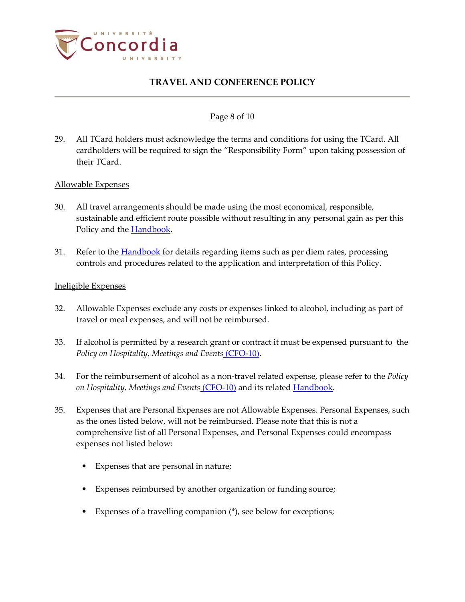

### Page 8 of 10

29. All TCard holders must acknowledge the terms and conditions for using the TCard. All cardholders will be required to sign the "Responsibility Form" upon taking possession of their TCard.

### Allowable Expenses

- 30. All travel arrangements should be made using the most economical, responsible, sustainable and efficient route possible without resulting in any personal gain as per this Policy and the **Handbook**.
- 31. Refer to the **Handbook** for details regarding items such as per diem rates, processing controls and procedures related to the application and interpretation of this Policy.

### Ineligible Expenses

- 32. Allowable Expenses exclude any costs or expenses linked to alcohol, including as part of travel or meal expenses, and will not be reimbursed.
- 33. If alcohol is permitted by a research grant or contract it must be expensed pursuant to the *[Policy on Hospitality, Meetings and Events](https://cspace.concordia.ca/content/dam/common/docs/policies/official-policies/CFO-10.pdf)* (CFO-10).
- 34. For the reimbursement of alcohol as a non-travel related expense, please refer to the *[Policy](https://cspace.concordia.ca/content/dam/common/docs/policies/official-policies/CFO-10.pdf)  [on Hospitality, Meetings and Events](https://cspace.concordia.ca/content/dam/common/docs/policies/official-policies/CFO-10.pdf)* (CFO-10) and its related [Handbook.](http://www.concordia.ca/content/dam/cspace/services/financial/docs/Hospitality_Meetings_and_Events_Policy_Handbook.pdf)
- 35. Expenses that are Personal Expenses are not Allowable Expenses. Personal Expenses, such as the ones listed below, will not be reimbursed. Please note that this is not a comprehensive list of all Personal Expenses, and Personal Expenses could encompass expenses not listed below:
	- Expenses that are personal in nature;
	- Expenses reimbursed by another organization or funding source;
	- Expenses of a travelling companion (\*), see below for exceptions;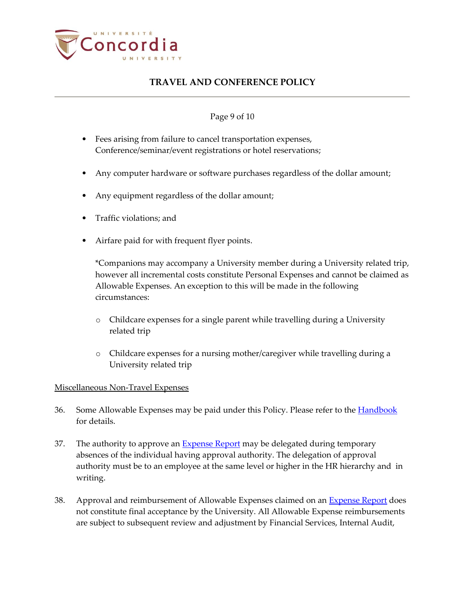

### Page 9 of 10

- Fees arising from failure to cancel transportation expenses, Conference/seminar/event registrations or hotel reservations;
- Any computer hardware or software purchases regardless of the dollar amount;
- Any equipment regardless of the dollar amount;
- Traffic violations; and
- Airfare paid for with frequent flyer points.

\*Companions may accompany a University member during a University related trip, however all incremental costs constitute Personal Expenses and cannot be claimed as Allowable Expenses. An exception to this will be made in the following circumstances:

- o Childcare expenses for a single parent while travelling during a University related trip
- o Childcare expenses for a nursing mother/caregiver while travelling during a University related trip

### Miscellaneous Non-Travel Expenses

- 36. Some Allowable Expenses may be paid under this Policy. Please refer to the **Handbook** for details.
- 37. The authority to approve an [Expense Report](https://hub.concordia.ca/carrefour/account.html?category=financial) may be delegated during temporary absences of the individual having approval authority. The delegation of approval authority must be to an employee at the same level or higher in the HR hierarchy and in writing.
- 38. Approval and reimbursement of Allowable Expenses claimed on an **Expense Report** does not constitute final acceptance by the University. All Allowable Expense reimbursements are subject to subsequent review and adjustment by Financial Services, Internal Audit,